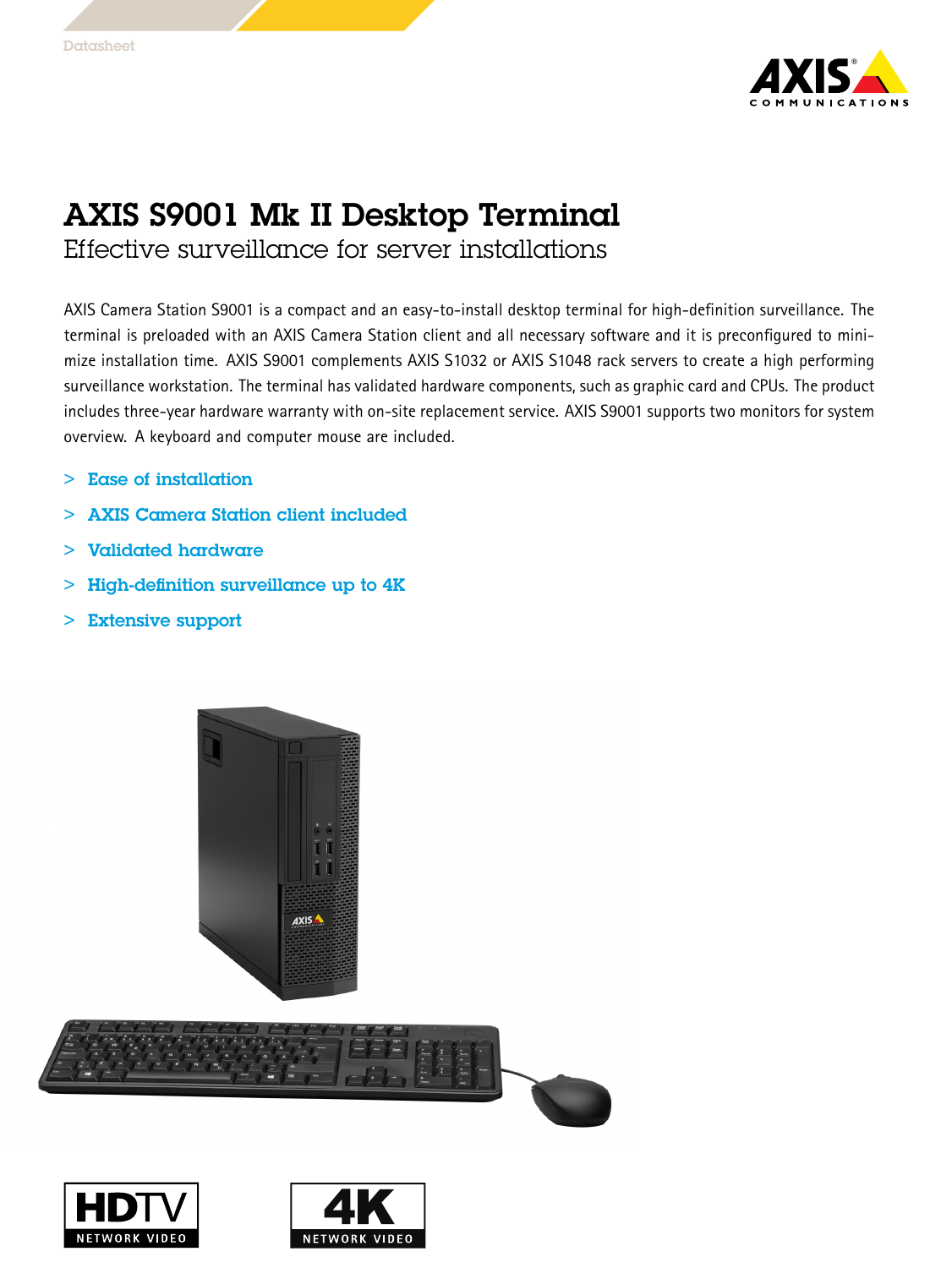

## AXIS S9001 Mk II Desktop Terminal

Effective surveillance for server installations

AXIS Camera Station S9001 is <sup>a</sup> compact and an easy-to-install desktop terminal for high-definition surveillance. The terminal is preloaded with an AXIS Camera Station client and all necessary software and it is preconfigured to minimize installation time. AXIS S9001 complements AXIS S1032 or AXIS S1048 rack servers to create <sup>a</sup> high performing surveillance workstation. The terminal has validated hardware components, such as graphic card and CPUs. The product includes three-year hardware warranty with on-site replacement service. AXIS S9001 supports two monitors for system overview. A keyboard and computer mouse are included.

- > Ease of installation
	- >AXIS Camera Station client included
- > Validated hardware
- > High-definition surveillance up to 4K
- > Extensive support